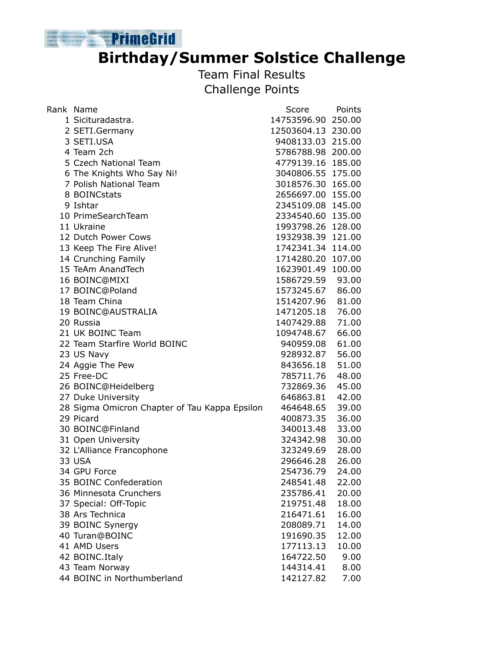## **Birthday/Summer Solstice Challenge**

Team Final Results Challenge Points

| Rank Name                                     | Score              | Points |
|-----------------------------------------------|--------------------|--------|
| 1 Sicituradastra.                             | 14753596.90 250.00 |        |
| 2 SETI.Germany                                | 12503604.13 230.00 |        |
| 3 SETI.USA                                    | 9408133.03 215.00  |        |
| 4 Team 2ch                                    | 5786788.98 200.00  |        |
| 5 Czech National Team                         | 4779139.16 185.00  |        |
| 6 The Knights Who Say Ni!                     | 3040806.55 175.00  |        |
| 7 Polish National Team                        | 3018576.30 165.00  |        |
| 8 BOINCstats                                  | 2656697.00 155.00  |        |
| 9 Ishtar                                      | 2345109.08 145.00  |        |
| 10 PrimeSearchTeam                            | 2334540.60 135.00  |        |
| 11 Ukraine                                    | 1993798.26         | 128.00 |
| 12 Dutch Power Cows                           | 1932938.39         | 121.00 |
| 13 Keep The Fire Alive!                       | 1742341.34 114.00  |        |
| 14 Crunching Family                           | 1714280.20 107.00  |        |
| 15 TeAm AnandTech                             | 1623901.49 100.00  |        |
| 16 BOINC@MIXI                                 | 1586729.59         | 93.00  |
| 17 BOINC@Poland                               | 1573245.67         | 86.00  |
| 18 Team China                                 | 1514207.96         | 81.00  |
| 19 BOINC@AUSTRALIA                            | 1471205.18 76.00   |        |
| 20 Russia                                     | 1407429.88         | 71.00  |
| 21 UK BOINC Team                              | 1094748.67         | 66.00  |
| 22 Team Starfire World BOINC                  | 940959.08          | 61.00  |
| 23 US Navy                                    | 928932.87          | 56.00  |
| 24 Aggie The Pew                              | 843656.18          | 51.00  |
| 25 Free-DC                                    | 785711.76          | 48.00  |
| 26 BOINC@Heidelberg                           | 732869.36          | 45.00  |
| 27 Duke University                            | 646863.81          | 42.00  |
| 28 Sigma Omicron Chapter of Tau Kappa Epsilon | 464648.65          | 39.00  |
| 29 Picard                                     | 400873.35          | 36.00  |
| 30 BOINC@Finland                              | 340013.48          | 33.00  |
| 31 Open University                            | 324342.98          | 30.00  |
| 32 L'Alliance Francophone                     | 323249.69          | 28.00  |
| <b>33 USA</b>                                 | 296646.28          | 26.00  |
| 34 GPU Force                                  | 254736.79          | 24.00  |
| 35 BOINC Confederation                        | 248541.48          | 22.00  |
| 36 Minnesota Crunchers                        | 235786.41          | 20.00  |
| 37 Special: Off-Topic                         | 219751.48          | 18.00  |
| 38 Ars Technica                               | 216471.61          | 16.00  |
| 39 BOINC Synergy                              | 208089.71          | 14.00  |
| 40 Turan@BOINC                                | 191690.35          | 12.00  |
| 41 AMD Users                                  | 177113.13          | 10.00  |
| 42 BOINC. Italy                               | 164722.50          | 9.00   |
| 43 Team Norway                                | 144314.41          | 8.00   |
| 44 BOINC in Northumberland                    | 142127.82          | 7.00   |